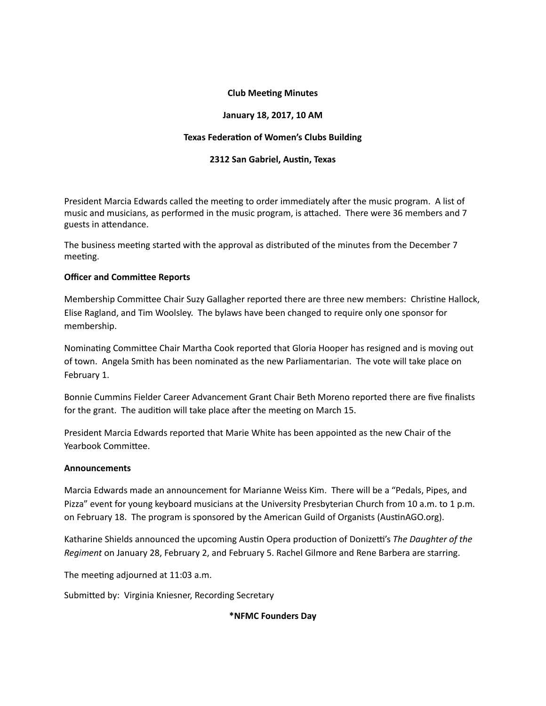# **Club Meeting Minutes**

## January 18, 2017, 10 AM

#### **Texas Federation of Women's Clubs Building**

### **2312 San Gabriel, Austin, Texas**

President Marcia Edwards called the meeting to order immediately after the music program. A list of music and musicians, as performed in the music program, is attached. There were 36 members and 7 guests in attendance.

The business meeting started with the approval as distributed of the minutes from the December 7 meeting.

### **Officer and Committee Reports**

Membership Committee Chair Suzy Gallagher reported there are three new members: Christine Hallock, Elise Ragland, and Tim Woolsley. The bylaws have been changed to require only one sponsor for membership.

Nominating Committee Chair Martha Cook reported that Gloria Hooper has resigned and is moving out of town. Angela Smith has been nominated as the new Parliamentarian. The vote will take place on February 1.

Bonnie Cummins Fielder Career Advancement Grant Chair Beth Moreno reported there are five finalists for the grant. The audition will take place after the meeting on March 15.

President Marcia Edwards reported that Marie White has been appointed as the new Chair of the Yearbook Committee.

#### **Announcements**

Marcia Edwards made an announcement for Marianne Weiss Kim. There will be a "Pedals, Pipes, and Pizza" event for young keyboard musicians at the University Presbyterian Church from 10 a.m. to 1 p.m. on February 18. The program is sponsored by the American Guild of Organists (AustinAGO.org).

Katharine Shields announced the upcoming Austin Opera production of Donizetti's The Daughter of the *Regiment* on January 28, February 2, and February 5. Rachel Gilmore and Rene Barbera are starring.

The meeting adjourned at 11:03 a.m.

Submitted by: Virginia Kniesner, Recording Secretary

#### **\*NFMC Founders Day**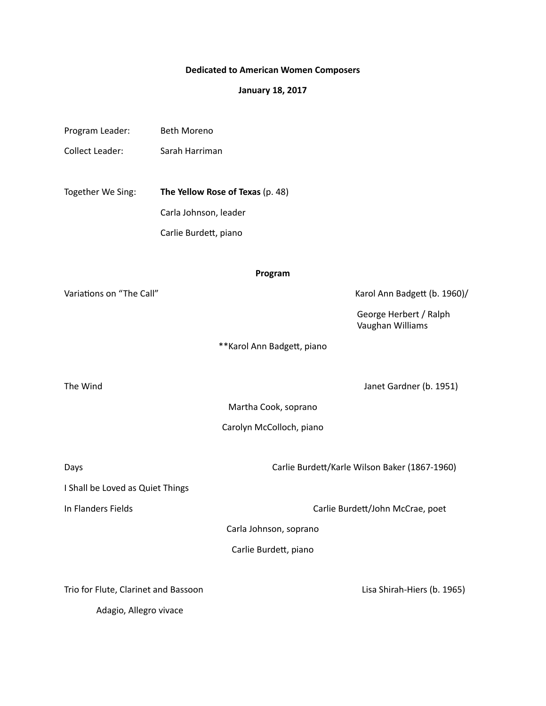# **Dedicated to American Women Composers**

# **January 18, 2017**

| Program Leader:                      | <b>Beth Moreno</b>               |                             |                                               |
|--------------------------------------|----------------------------------|-----------------------------|-----------------------------------------------|
| Collect Leader:                      | Sarah Harriman                   |                             |                                               |
|                                      |                                  |                             |                                               |
| Together We Sing:                    | The Yellow Rose of Texas (p. 48) |                             |                                               |
|                                      | Carla Johnson, leader            |                             |                                               |
|                                      | Carlie Burdett, piano            |                             |                                               |
|                                      |                                  | Program                     |                                               |
| Variations on "The Call"             |                                  |                             | Karol Ann Badgett (b. 1960)/                  |
|                                      |                                  |                             | George Herbert / Ralph<br>Vaughan Williams    |
|                                      |                                  | ** Karol Ann Badgett, piano |                                               |
| The Wind                             |                                  |                             | Janet Gardner (b. 1951)                       |
|                                      |                                  | Martha Cook, soprano        |                                               |
|                                      |                                  | Carolyn McColloch, piano    |                                               |
| Days                                 |                                  |                             | Carlie Burdett/Karle Wilson Baker (1867-1960) |
| I Shall be Loved as Quiet Things     |                                  |                             |                                               |
| In Flanders Fields                   |                                  |                             | Carlie Burdett/John McCrae, poet              |
|                                      |                                  | Carla Johnson, soprano      |                                               |
|                                      |                                  | Carlie Burdett, piano       |                                               |
| Trio for Flute, Clarinet and Bassoon |                                  |                             | Lisa Shirah-Hiers (b. 1965)                   |
| Adagio, Allegro vivace               |                                  |                             |                                               |